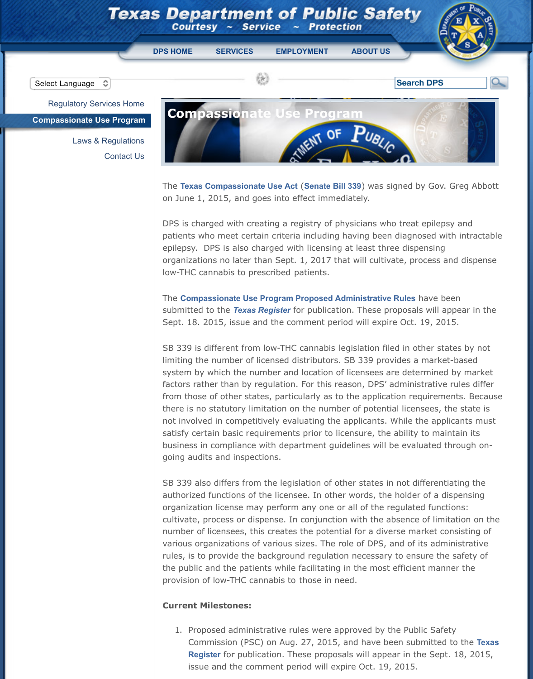Laws & Regulations Contact Us



The Texas Compassionate Use Act (Senate Bill 339) was signed [on June 1,](http://www.dps.texas.gov/index.htm) [2015, and go](https://www.txdps.state.tx.us/onserv.htm)[es into effect imme](http://agency.governmentjobs.com/txdps/default.cfm)[diately.](https://www.txdps.state.tx.us/about.htm)

DPS is charged with creating a registry of physicians who treated portations. patients who meet certain criteria including having been diag epilepsy. DPS is also charged with licensing at least three disposilepsing organizations no later than Sept. 1, 2017 that will cultivate, process and dispenses and dispensional dispensi low-THC cannabis to prescribed patients.

**The Compassionate Use Program Proposed Administrative Rules** submitted to the *Texas Register* for publication. These propose Sep[t. 18. 2015, issue and the comment period w](https://www.txdps.state.tx.us/extLinks/default.aspx?Url=http://www.capitol.state.tx.us/tlodocs/84R/billtext/pdf/SB00339F.pdf#navpanes=0)ill expire Oct.

SB 339 is different from low-THC cannabis legislation filed in limiting the number of licensed distributors. SB 339 provides system by which the number and location of licensees are det factors rather than by regulation. For this reason, DPS' admir from those of other states, particularly as to the application requirements. there is no statutory limitation on the number of potential lice not involved in competitively evaluating the applicants. While satisfy certain basic requirements prior to licensure, the abilit busi[ness in compliance with department guidelines will be eval](https://www.txdps.state.tx.us/RSD/CUP/Laws/adminRuleProposals.pdf)uated going audits and [inspections.](https://www.txdps.state.tx.us/extLinks/default.aspx?Url=http://www.sos.state.tx.us/texreg/index.shtml)

SB 339 also differs from the legislation of other states in not authorized functions of the licensee. In other words, the hold organization license may perform any one or all of the regula cultivate, process or dispense. In conjunction with the absend number of licensees, this creates the potential for a diverse n various organizations of various sizes. The role of DPS, and o rules, is to provide the background regulation necessary to en the public and the patients while facilitating in the most efficient provision of low-THC cannabis to those in need.

## **Current Milestones:**

1. Proposed administrative rules were approved by the Pu Commission (PSC) on Aug. 27, 2015, and have been sub **Register** for publication. These proposals will appear in issue and the comment period will expire Oct. 19, 2015.